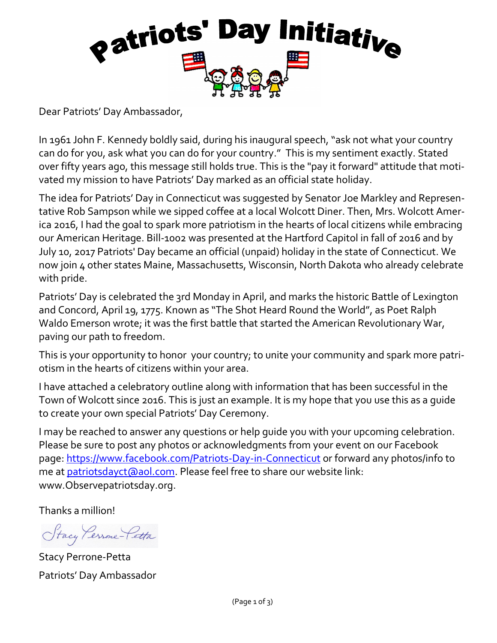

Dear Patriots' Day Ambassador,

In 1961 John F. Kennedy boldly said, during his inaugural speech, "ask not what your country can do for you, ask what you can do for your country." This is my sentiment exactly. Stated over fifty years ago, this message still holds true. This is the "pay it forward" attitude that motivated my mission to have Patriots' Day marked as an official state holiday.

The idea for Patriots' Day in Connecticut was suggested by Senator Joe Markley and Representative Rob Sampson while we sipped coffee at a local Wolcott Diner. Then, Mrs. Wolcott America 2016, I had the goal to spark more patriotism in the hearts of local citizens while embracing our American Heritage. Bill-1002 was presented at the Hartford Capitol in fall of 2016 and by July 10, 2017 Patriots' Day became an official (unpaid) holiday in the state of Connecticut. We now join 4 other states Maine, Massachusetts, Wisconsin, North Dakota who already celebrate with pride.

Patriots' Day is celebrated the 3rd Monday in April, and marks the historic Battle of Lexington and Concord, April 19, 1775. Known as "The Shot Heard Round the World", as Poet Ralph Waldo Emerson wrote; it was the first battle that started the American Revolutionary War, paving our path to freedom.

This is your opportunity to honor your country; to unite your community and spark more patriotism in the hearts of citizens within your area.

I have attached a celebratory outline along with information that has been successful in the Town of Wolcott since 2016. This is just an example. It is my hope that you use this as a guide to create your own special Patriots' Day Ceremony.

I may be reached to answer any questions or help guide you with your upcoming celebration. Please be sure to post any photos or acknowledgments from your event on our Facebook page: <https://www.facebook.com/Patriots-Day-in-Connecticut> or forward any photos/info to me at **patriotsdayct** (also l.com. Please feel free to share our website link: www.Observepatriotsday.org.

Thanks a million!

Stacy Persone-Petta

Stacy Perrone-Petta Patriots' Day Ambassador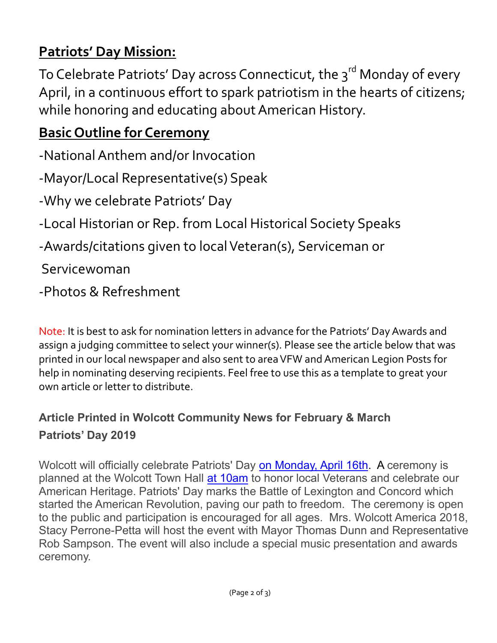## **Patriots' Day Mission:**

To Celebrate Patriots' Day across Connecticut, the 3<sup>rd</sup> Monday of every April, in a continuous effort to spark patriotism in the hearts of citizens; while honoring and educating about American History.

## **Basic Outline for Ceremony**

-National Anthem and/or Invocation

-Mayor/Local Representative(s) Speak

-Why we celebrate Patriots' Day

-Local Historian or Rep. from Local Historical Society Speaks

-Awards/citations given to local Veteran(s), Serviceman or

Servicewoman

-Photos & Refreshment

Note: It is best to ask for nomination letters in advance for the Patriots' Day Awards and assign a judging committee to select your winner(s). Please see the article below that was printed in our local newspaper and also sent to area VFW and American Legion Posts for help in nominating deserving recipients. Feel free to use this as a template to great your own article or letter to distribute.

## **Article Printed in Wolcott Community News for February & March Patriots' Day 2019**

Wolcott will officially celebrate Patriots' Day [on Monday, April 16th.](about:blank) A ceremony is planned at the Wolcott Town Hall [at 10am](about:blank) to honor local Veterans and celebrate our American Heritage. Patriots' Day marks the Battle of Lexington and Concord which started the American Revolution, paving our path to freedom. The ceremony is open to the public and participation is encouraged for all ages. Mrs. Wolcott America 2018, Stacy Perrone-Petta will host the event with Mayor Thomas Dunn and Representative Rob Sampson. The event will also include a special music presentation and awards ceremony.